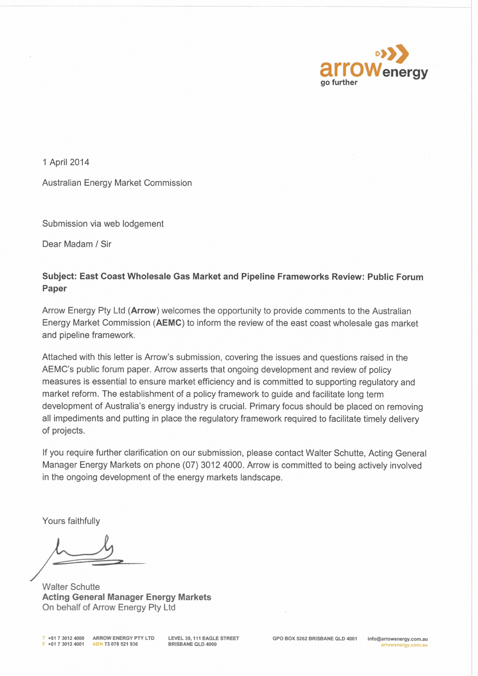

1 April 2014

**Australian Energy Market Commission** 

Submission via web lodgement

Dear Madam / Sir

# Subject: East Coast Wholesale Gas Market and Pipeline Frameworks Review: Public Forum Paper

Arrow Energy Pty Ltd (Arrow) welcomes the opportunity to provide comments to the Australian Energy Market Commission (AEMC) to inform the review of the east coast wholesale gas market and pipeline framework.

Attached with this letter is Arrow's submission, covering the issues and questions raised in the AEMC's public forum paper. Arrow asserts that ongoing development and review of policy measures is essential to ensure market efficiency and is committed to supporting regulatory and market reform. The establishment of a policy framework to guide and facilitate long term development of Australia's energy industry is crucial. Primary focus should be placed on removing all impediments and putting in place the regulatory framework required to facilitate timely delivery of projects.

If you require further clarification on our submission, please contact Walter Schutte, Acting General Manager Energy Markets on phone (07) 3012 4000. Arrow is committed to being actively involved in the ongoing development of the energy markets landscape.

Yours faithfully

**Walter Schutte Acting General Manager Energy Markets** On behalf of Arrow Energy Pty Ltd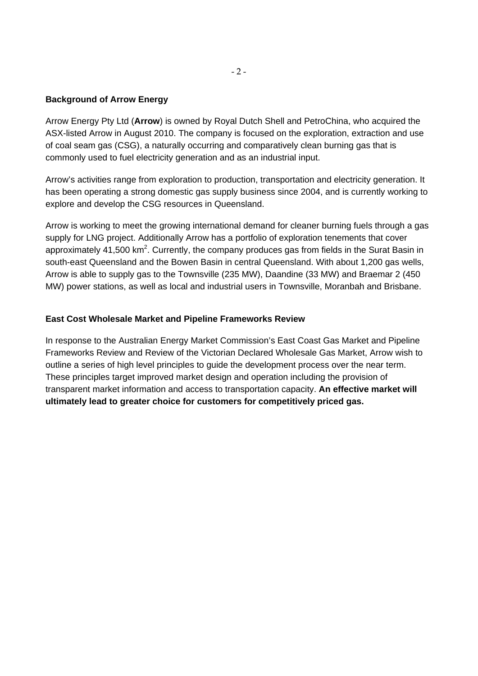#### **Background of Arrow Energy**

Arrow Energy Pty Ltd (**Arrow**) is owned by Royal Dutch Shell and PetroChina, who acquired the ASX-listed Arrow in August 2010. The company is focused on the exploration, extraction and use of coal seam gas (CSG), a naturally occurring and comparatively clean burning gas that is commonly used to fuel electricity generation and as an industrial input.

Arrow's activities range from exploration to production, transportation and electricity generation. It has been operating a strong domestic gas supply business since 2004, and is currently working to explore and develop the CSG resources in Queensland.

Arrow is working to meet the growing international demand for cleaner burning fuels through a gas supply for LNG project. Additionally Arrow has a portfolio of exploration tenements that cover approximately 41,500 km<sup>2</sup>. Currently, the company produces gas from fields in the Surat Basin in south-east Queensland and the Bowen Basin in central Queensland. With about 1,200 gas wells, Arrow is able to supply gas to the Townsville (235 MW), Daandine (33 MW) and Braemar 2 (450 MW) power stations, as well as local and industrial users in Townsville, Moranbah and Brisbane.

#### **East Cost Wholesale Market and Pipeline Frameworks Review**

In response to the Australian Energy Market Commission's East Coast Gas Market and Pipeline Frameworks Review and Review of the Victorian Declared Wholesale Gas Market, Arrow wish to outline a series of high level principles to guide the development process over the near term. These principles target improved market design and operation including the provision of transparent market information and access to transportation capacity. **An effective market will ultimately lead to greater choice for customers for competitively priced gas.**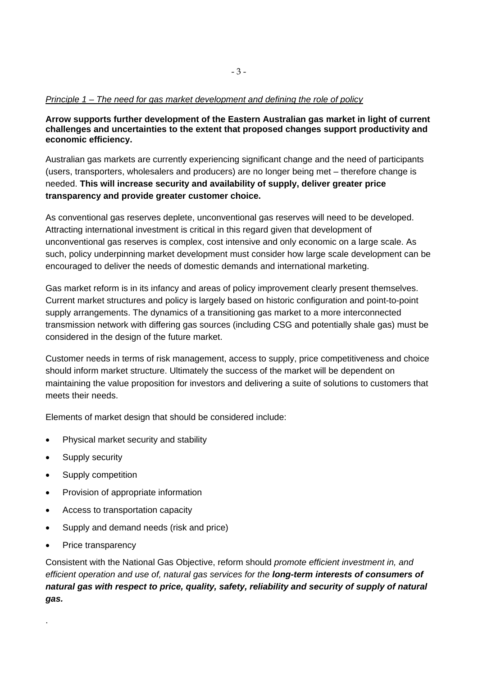#### *Principle 1 – The need for gas market development and defining the role of policy*

**Arrow supports further development of the Eastern Australian gas market in light of current challenges and uncertainties to the extent that proposed changes support productivity and economic efficiency.** 

Australian gas markets are currently experiencing significant change and the need of participants (users, transporters, wholesalers and producers) are no longer being met – therefore change is needed. **This will increase security and availability of supply, deliver greater price transparency and provide greater customer choice.**

As conventional gas reserves deplete, unconventional gas reserves will need to be developed. Attracting international investment is critical in this regard given that development of unconventional gas reserves is complex, cost intensive and only economic on a large scale. As such, policy underpinning market development must consider how large scale development can be encouraged to deliver the needs of domestic demands and international marketing.

Gas market reform is in its infancy and areas of policy improvement clearly present themselves. Current market structures and policy is largely based on historic configuration and point-to-point supply arrangements. The dynamics of a transitioning gas market to a more interconnected transmission network with differing gas sources (including CSG and potentially shale gas) must be considered in the design of the future market.

Customer needs in terms of risk management, access to supply, price competitiveness and choice should inform market structure. Ultimately the success of the market will be dependent on maintaining the value proposition for investors and delivering a suite of solutions to customers that meets their needs.

Elements of market design that should be considered include:

- Physical market security and stability
- Supply security
- Supply competition
- Provision of appropriate information
- Access to transportation capacity
- Supply and demand needs (risk and price)
- Price transparency

.

Consistent with the National Gas Objective, reform should *promote efficient investment in, and efficient operation and use of, natural gas services for the long-term interests of consumers of natural gas with respect to price, quality, safety, reliability and security of supply of natural gas.*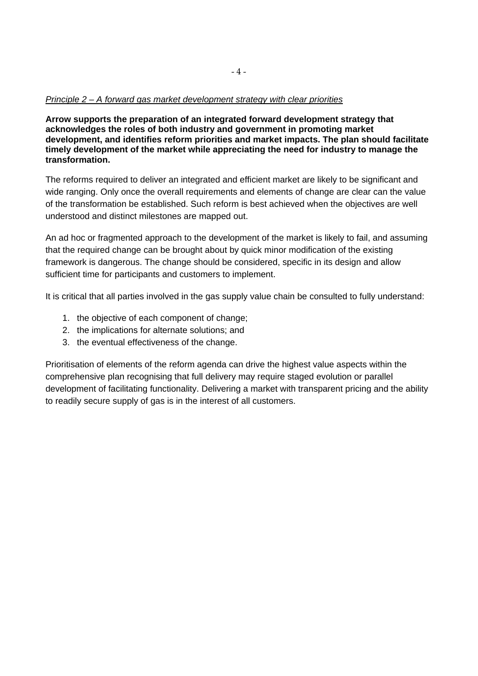**Arrow supports the preparation of an integrated forward development strategy that acknowledges the roles of both industry and government in promoting market development, and identifies reform priorities and market impacts. The plan should facilitate timely development of the market while appreciating the need for industry to manage the transformation.** 

The reforms required to deliver an integrated and efficient market are likely to be significant and wide ranging. Only once the overall requirements and elements of change are clear can the value of the transformation be established. Such reform is best achieved when the objectives are well understood and distinct milestones are mapped out.

An ad hoc or fragmented approach to the development of the market is likely to fail, and assuming that the required change can be brought about by quick minor modification of the existing framework is dangerous. The change should be considered, specific in its design and allow sufficient time for participants and customers to implement.

It is critical that all parties involved in the gas supply value chain be consulted to fully understand:

- 1. the objective of each component of change;
- 2. the implications for alternate solutions; and
- 3. the eventual effectiveness of the change.

Prioritisation of elements of the reform agenda can drive the highest value aspects within the comprehensive plan recognising that full delivery may require staged evolution or parallel development of facilitating functionality. Delivering a market with transparent pricing and the ability to readily secure supply of gas is in the interest of all customers.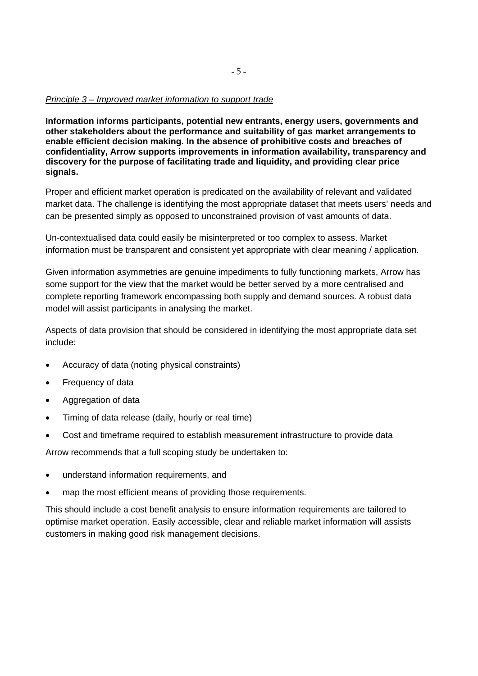#### *Principle 3 – Improved market information to support trade*

**Information informs participants, potential new entrants, energy users, governments and other stakeholders about the performance and suitability of gas market arrangements to enable efficient decision making. In the absence of prohibitive costs and breaches of confidentiality, Arrow supports improvements in information availability, transparency and discovery for the purpose of facilitating trade and liquidity, and providing clear price signals.** 

Proper and efficient market operation is predicated on the availability of relevant and validated market data. The challenge is identifying the most appropriate dataset that meets users' needs and can be presented simply as opposed to unconstrained provision of vast amounts of data.

Un-contextualised data could easily be misinterpreted or too complex to assess. Market information must be transparent and consistent yet appropriate with clear meaning / application.

Given information asymmetries are genuine impediments to fully functioning markets, Arrow has some support for the view that the market would be better served by a more centralised and complete reporting framework encompassing both supply and demand sources. A robust data model will assist participants in analysing the market.

Aspects of data provision that should be considered in identifying the most appropriate data set include:

- Accuracy of data (noting physical constraints)
- Frequency of data
- Aggregation of data
- Timing of data release (daily, hourly or real time)
- Cost and timeframe required to establish measurement infrastructure to provide data

Arrow recommends that a full scoping study be undertaken to:

- understand information requirements, and
- map the most efficient means of providing those requirements.

This should include a cost benefit analysis to ensure information requirements are tailored to optimise market operation. Easily accessible, clear and reliable market information will assists customers in making good risk management decisions.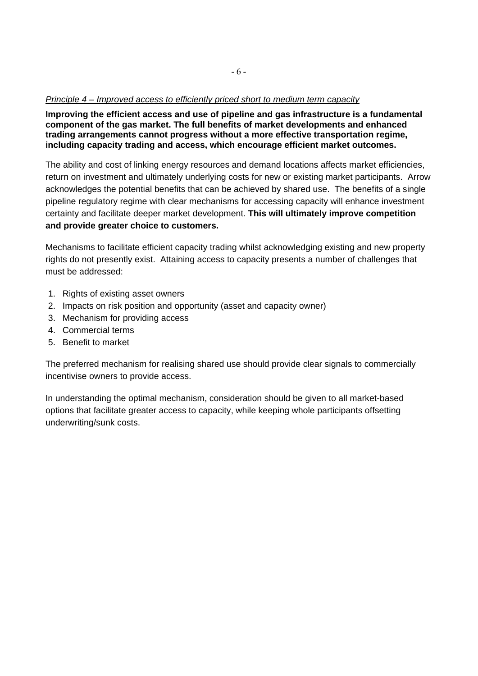#### *Principle 4 – Improved access to efficiently priced short to medium term capacity*

**Improving the efficient access and use of pipeline and gas infrastructure is a fundamental component of the gas market. The full benefits of market developments and enhanced trading arrangements cannot progress without a more effective transportation regime, including capacity trading and access, which encourage efficient market outcomes.** 

The ability and cost of linking energy resources and demand locations affects market efficiencies, return on investment and ultimately underlying costs for new or existing market participants. Arrow acknowledges the potential benefits that can be achieved by shared use. The benefits of a single pipeline regulatory regime with clear mechanisms for accessing capacity will enhance investment certainty and facilitate deeper market development. **This will ultimately improve competition and provide greater choice to customers.**

Mechanisms to facilitate efficient capacity trading whilst acknowledging existing and new property rights do not presently exist. Attaining access to capacity presents a number of challenges that must be addressed:

- 1. Rights of existing asset owners
- 2. Impacts on risk position and opportunity (asset and capacity owner)
- 3. Mechanism for providing access
- 4. Commercial terms
- 5. Benefit to market

The preferred mechanism for realising shared use should provide clear signals to commercially incentivise owners to provide access.

In understanding the optimal mechanism, consideration should be given to all market-based options that facilitate greater access to capacity, while keeping whole participants offsetting underwriting/sunk costs.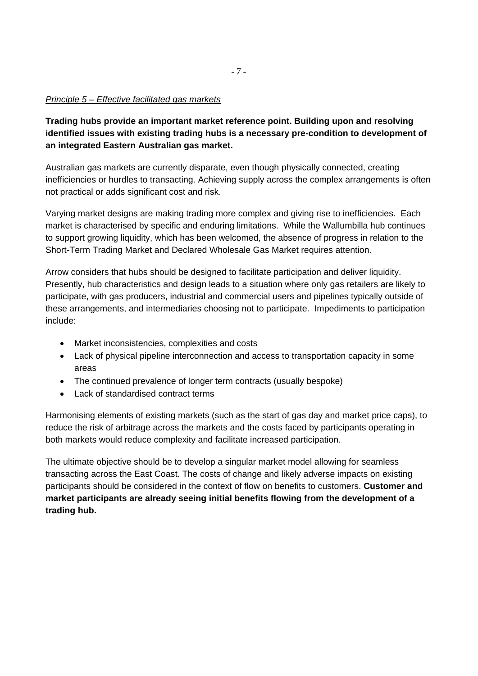#### *Principle 5 – Effective facilitated gas markets*

**Trading hubs provide an important market reference point. Building upon and resolving identified issues with existing trading hubs is a necessary pre-condition to development of an integrated Eastern Australian gas market.** 

Australian gas markets are currently disparate, even though physically connected, creating inefficiencies or hurdles to transacting. Achieving supply across the complex arrangements is often not practical or adds significant cost and risk.

Varying market designs are making trading more complex and giving rise to inefficiencies. Each market is characterised by specific and enduring limitations. While the Wallumbilla hub continues to support growing liquidity, which has been welcomed, the absence of progress in relation to the Short-Term Trading Market and Declared Wholesale Gas Market requires attention.

Arrow considers that hubs should be designed to facilitate participation and deliver liquidity. Presently, hub characteristics and design leads to a situation where only gas retailers are likely to participate, with gas producers, industrial and commercial users and pipelines typically outside of these arrangements, and intermediaries choosing not to participate. Impediments to participation include:

- Market inconsistencies, complexities and costs
- Lack of physical pipeline interconnection and access to transportation capacity in some areas
- The continued prevalence of longer term contracts (usually bespoke)
- Lack of standardised contract terms

Harmonising elements of existing markets (such as the start of gas day and market price caps), to reduce the risk of arbitrage across the markets and the costs faced by participants operating in both markets would reduce complexity and facilitate increased participation.

The ultimate objective should be to develop a singular market model allowing for seamless transacting across the East Coast. The costs of change and likely adverse impacts on existing participants should be considered in the context of flow on benefits to customers. **Customer and market participants are already seeing initial benefits flowing from the development of a trading hub.**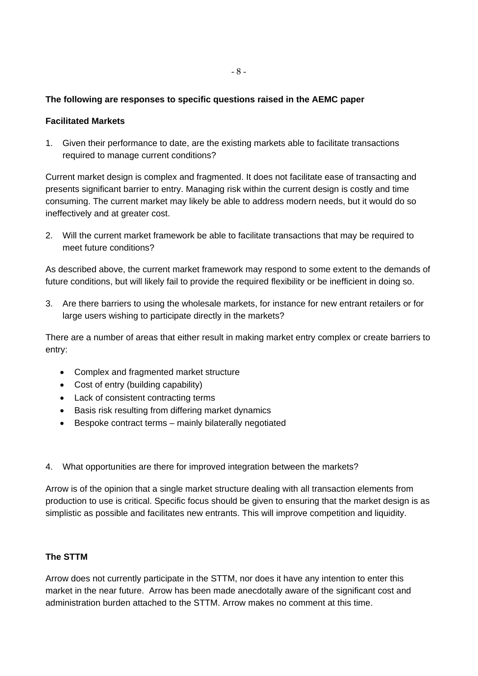### **The following are responses to specific questions raised in the AEMC paper**

#### **Facilitated Markets**

1. Given their performance to date, are the existing markets able to facilitate transactions required to manage current conditions?

Current market design is complex and fragmented. It does not facilitate ease of transacting and presents significant barrier to entry. Managing risk within the current design is costly and time consuming. The current market may likely be able to address modern needs, but it would do so ineffectively and at greater cost.

2. Will the current market framework be able to facilitate transactions that may be required to meet future conditions?

As described above, the current market framework may respond to some extent to the demands of future conditions, but will likely fail to provide the required flexibility or be inefficient in doing so.

3. Are there barriers to using the wholesale markets, for instance for new entrant retailers or for large users wishing to participate directly in the markets?

There are a number of areas that either result in making market entry complex or create barriers to entry:

- Complex and fragmented market structure
- Cost of entry (building capability)
- Lack of consistent contracting terms
- Basis risk resulting from differing market dynamics
- Bespoke contract terms mainly bilaterally negotiated
- 4. What opportunities are there for improved integration between the markets?

Arrow is of the opinion that a single market structure dealing with all transaction elements from production to use is critical. Specific focus should be given to ensuring that the market design is as simplistic as possible and facilitates new entrants. This will improve competition and liquidity.

#### **The STTM**

Arrow does not currently participate in the STTM, nor does it have any intention to enter this market in the near future. Arrow has been made anecdotally aware of the significant cost and administration burden attached to the STTM. Arrow makes no comment at this time.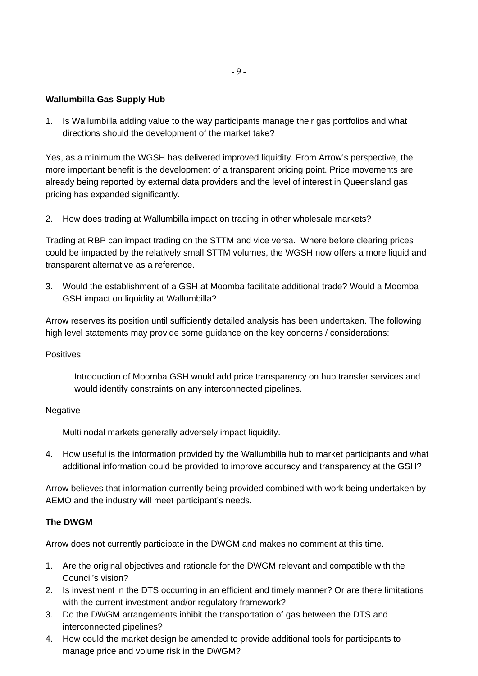## **Wallumbilla Gas Supply Hub**

1. Is Wallumbilla adding value to the way participants manage their gas portfolios and what directions should the development of the market take?

Yes, as a minimum the WGSH has delivered improved liquidity. From Arrow's perspective, the more important benefit is the development of a transparent pricing point. Price movements are already being reported by external data providers and the level of interest in Queensland gas pricing has expanded significantly.

2. How does trading at Wallumbilla impact on trading in other wholesale markets?

Trading at RBP can impact trading on the STTM and vice versa. Where before clearing prices could be impacted by the relatively small STTM volumes, the WGSH now offers a more liquid and transparent alternative as a reference.

3. Would the establishment of a GSH at Moomba facilitate additional trade? Would a Moomba GSH impact on liquidity at Wallumbilla?

Arrow reserves its position until sufficiently detailed analysis has been undertaken. The following high level statements may provide some guidance on the key concerns / considerations:

#### **Positives**

Introduction of Moomba GSH would add price transparency on hub transfer services and would identify constraints on any interconnected pipelines.

#### Negative

Multi nodal markets generally adversely impact liquidity.

4. How useful is the information provided by the Wallumbilla hub to market participants and what additional information could be provided to improve accuracy and transparency at the GSH?

Arrow believes that information currently being provided combined with work being undertaken by AEMO and the industry will meet participant's needs.

#### **The DWGM**

Arrow does not currently participate in the DWGM and makes no comment at this time.

- 1. Are the original objectives and rationale for the DWGM relevant and compatible with the Council's vision?
- 2. Is investment in the DTS occurring in an efficient and timely manner? Or are there limitations with the current investment and/or regulatory framework?
- 3. Do the DWGM arrangements inhibit the transportation of gas between the DTS and interconnected pipelines?
- 4. How could the market design be amended to provide additional tools for participants to manage price and volume risk in the DWGM?